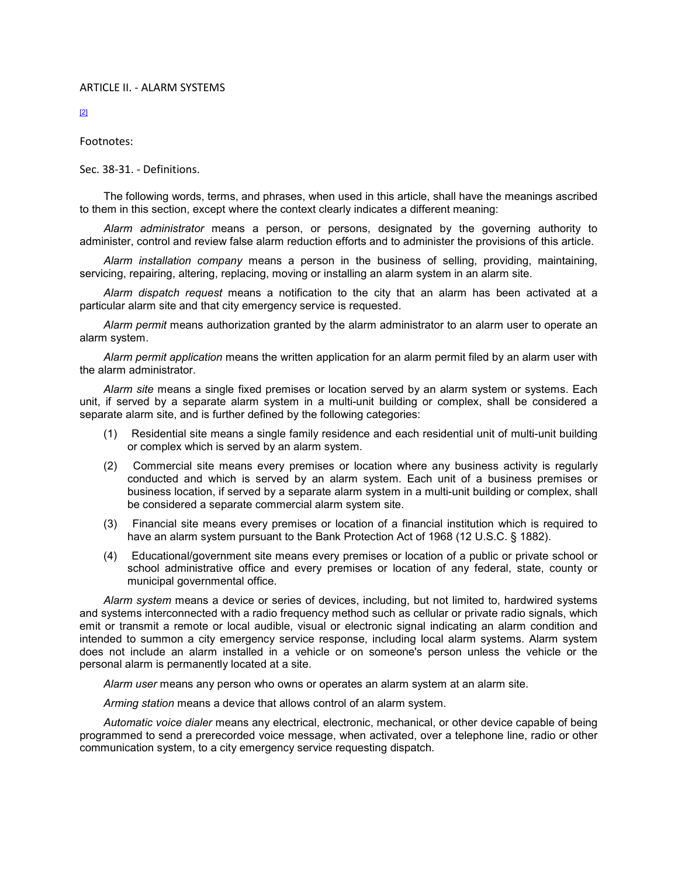## ARTICLE II. - ALARM SYSTEMS

[2]

Footnotes:

Sec. 38-31. - Definitions.

The following words, terms, and phrases, when used in this article, shall have the meanings ascribed to them in this section, except where the context clearly indicates a different meaning:

*Alarm administrator* means a person, or persons, designated by the governing authority to administer, control and review false alarm reduction efforts and to administer the provisions of this article.

*Alarm installation company* means a person in the business of selling, providing, maintaining, servicing, repairing, altering, replacing, moving or installing an alarm system in an alarm site.

*Alarm dispatch request* means a notification to the city that an alarm has been activated at a particular alarm site and that city emergency service is requested.

*Alarm permit* means authorization granted by the alarm administrator to an alarm user to operate an alarm system.

*Alarm permit application* means the written application for an alarm permit filed by an alarm user with the alarm administrator.

*Alarm site* means a single fixed premises or location served by an alarm system or systems. Each unit, if served by a separate alarm system in a multi-unit building or complex, shall be considered a separate alarm site, and is further defined by the following categories:

- (1) Residential site means a single family residence and each residential unit of multi-unit building or complex which is served by an alarm system.
- (2) Commercial site means every premises or location where any business activity is regularly conducted and which is served by an alarm system. Each unit of a business premises or business location, if served by a separate alarm system in a multi-unit building or complex, shall be considered a separate commercial alarm system site.
- (3) Financial site means every premises or location of a financial institution which is required to have an alarm system pursuant to the Bank Protection Act of 1968 (12 U.S.C. § 1882).
- (4) Educational/government site means every premises or location of a public or private school or school administrative office and every premises or location of any federal, state, county or municipal governmental office.

*Alarm system* means a device or series of devices, including, but not limited to, hardwired systems and systems interconnected with a radio frequency method such as cellular or private radio signals, which emit or transmit a remote or local audible, visual or electronic signal indicating an alarm condition and intended to summon a city emergency service response, including local alarm systems. Alarm system does not include an alarm installed in a vehicle or on someone's person unless the vehicle or the personal alarm is permanently located at a site.

*Alarm user* means any person who owns or operates an alarm system at an alarm site.

*Arming station* means a device that allows control of an alarm system.

*Automatic voice dialer* means any electrical, electronic, mechanical, or other device capable of being programmed to send a prerecorded voice message, when activated, over a telephone line, radio or other communication system, to a city emergency service requesting dispatch.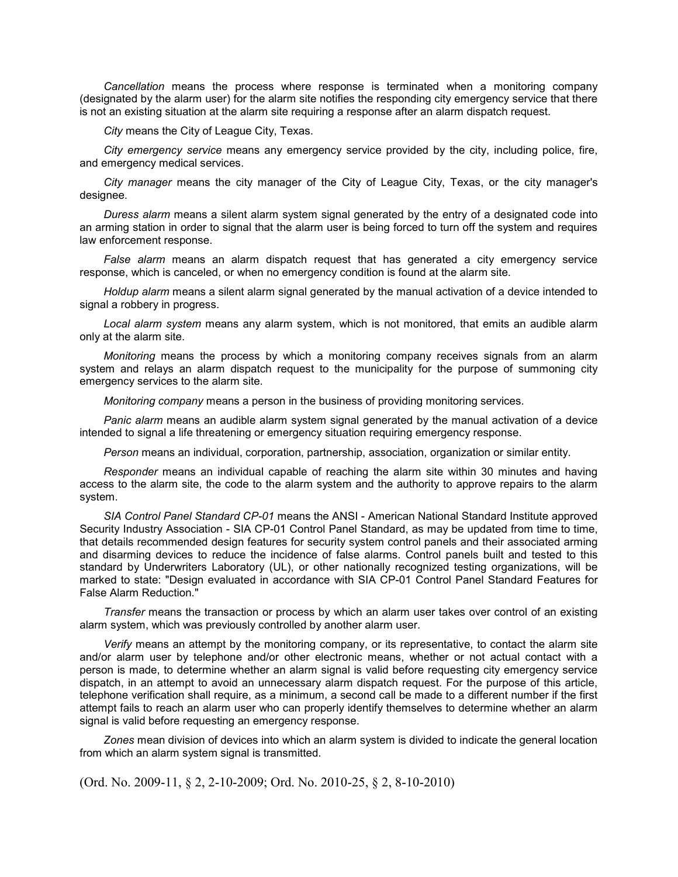*Cancellation* means the process where response is terminated when a monitoring company (designated by the alarm user) for the alarm site notifies the responding city emergency service that there is not an existing situation at the alarm site requiring a response after an alarm dispatch request.

*City* means the City of League City, Texas.

*City emergency service* means any emergency service provided by the city, including police, fire, and emergency medical services.

*City manager* means the city manager of the City of League City, Texas, or the city manager's designee.

*Duress alarm* means a silent alarm system signal generated by the entry of a designated code into an arming station in order to signal that the alarm user is being forced to turn off the system and requires law enforcement response.

*False alarm* means an alarm dispatch request that has generated a city emergency service response, which is canceled, or when no emergency condition is found at the alarm site.

*Holdup alarm* means a silent alarm signal generated by the manual activation of a device intended to signal a robbery in progress.

*Local alarm system* means any alarm system, which is not monitored, that emits an audible alarm only at the alarm site.

*Monitoring* means the process by which a monitoring company receives signals from an alarm system and relays an alarm dispatch request to the municipality for the purpose of summoning city emergency services to the alarm site.

*Monitoring company* means a person in the business of providing monitoring services.

*Panic alarm* means an audible alarm system signal generated by the manual activation of a device intended to signal a life threatening or emergency situation requiring emergency response.

*Person* means an individual, corporation, partnership, association, organization or similar entity.

*Responder* means an individual capable of reaching the alarm site within 30 minutes and having access to the alarm site, the code to the alarm system and the authority to approve repairs to the alarm system.

*SIA Control Panel Standard CP-01* means the ANSI - American National Standard Institute approved Security Industry Association - SIA CP-01 Control Panel Standard, as may be updated from time to time, that details recommended design features for security system control panels and their associated arming and disarming devices to reduce the incidence of false alarms. Control panels built and tested to this standard by Underwriters Laboratory (UL), or other nationally recognized testing organizations, will be marked to state: "Design evaluated in accordance with SIA CP-01 Control Panel Standard Features for False Alarm Reduction."

*Transfer* means the transaction or process by which an alarm user takes over control of an existing alarm system, which was previously controlled by another alarm user.

*Verify* means an attempt by the monitoring company, or its representative, to contact the alarm site and/or alarm user by telephone and/or other electronic means, whether or not actual contact with a person is made, to determine whether an alarm signal is valid before requesting city emergency service dispatch, in an attempt to avoid an unnecessary alarm dispatch request. For the purpose of this article, telephone verification shall require, as a minimum, a second call be made to a different number if the first attempt fails to reach an alarm user who can properly identify themselves to determine whether an alarm signal is valid before requesting an emergency response.

*Zones* mean division of devices into which an alarm system is divided to indicate the general location from which an alarm system signal is transmitted.

(Ord. No. 2009-11, § 2, 2-10-2009; Ord. No. 2010-25, § 2, 8-10-2010)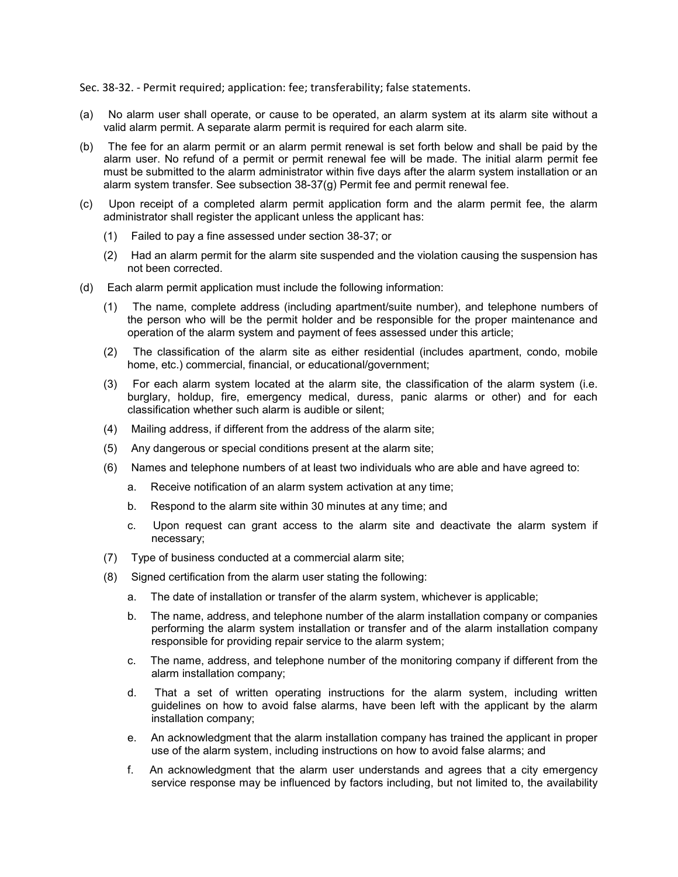Sec. 38-32. - Permit required; application: fee; transferability; false statements.

- (a) No alarm user shall operate, or cause to be operated, an alarm system at its alarm site without a valid alarm permit. A separate alarm permit is required for each alarm site.
- (b) The fee for an alarm permit or an alarm permit renewal is set forth below and shall be paid by the alarm user. No refund of a permit or permit renewal fee will be made. The initial alarm permit fee must be submitted to the alarm administrator within five days after the alarm system installation or an alarm system transfer. See subsection  $38-37(q)$  Permit fee and permit renewal fee.
- (c) Upon receipt of a completed alarm permit application form and the alarm permit fee, the alarm administrator shall register the applicant unless the applicant has:
	- (1) Failed to pay a fine assessed under section 38-37; or
	- (2) Had an alarm permit for the alarm site suspended and the violation causing the suspension has not been corrected.
- (d) Each alarm permit application must include the following information:
	- (1) The name, complete address (including apartment/suite number), and telephone numbers of the person who will be the permit holder and be responsible for the proper maintenance and operation of the alarm system and payment of fees assessed under this article;
	- (2) The classification of the alarm site as either residential (includes apartment, condo, mobile home, etc.) commercial, financial, or educational/government;
	- (3) For each alarm system located at the alarm site, the classification of the alarm system (i.e. burglary, holdup, fire, emergency medical, duress, panic alarms or other) and for each classification whether such alarm is audible or silent;
	- (4) Mailing address, if different from the address of the alarm site;
	- (5) Any dangerous or special conditions present at the alarm site;
	- (6) Names and telephone numbers of at least two individuals who are able and have agreed to:
		- a. Receive notification of an alarm system activation at any time;
		- b. Respond to the alarm site within 30 minutes at any time; and
		- c. Upon request can grant access to the alarm site and deactivate the alarm system if necessary;
	- (7) Type of business conducted at a commercial alarm site;
	- (8) Signed certification from the alarm user stating the following:
		- a. The date of installation or transfer of the alarm system, whichever is applicable;
		- b. The name, address, and telephone number of the alarm installation company or companies performing the alarm system installation or transfer and of the alarm installation company responsible for providing repair service to the alarm system;
		- c. The name, address, and telephone number of the monitoring company if different from the alarm installation company;
		- d. That a set of written operating instructions for the alarm system, including written guidelines on how to avoid false alarms, have been left with the applicant by the alarm installation company;
		- e. An acknowledgment that the alarm installation company has trained the applicant in proper use of the alarm system, including instructions on how to avoid false alarms; and
		- f. An acknowledgment that the alarm user understands and agrees that a city emergency service response may be influenced by factors including, but not limited to, the availability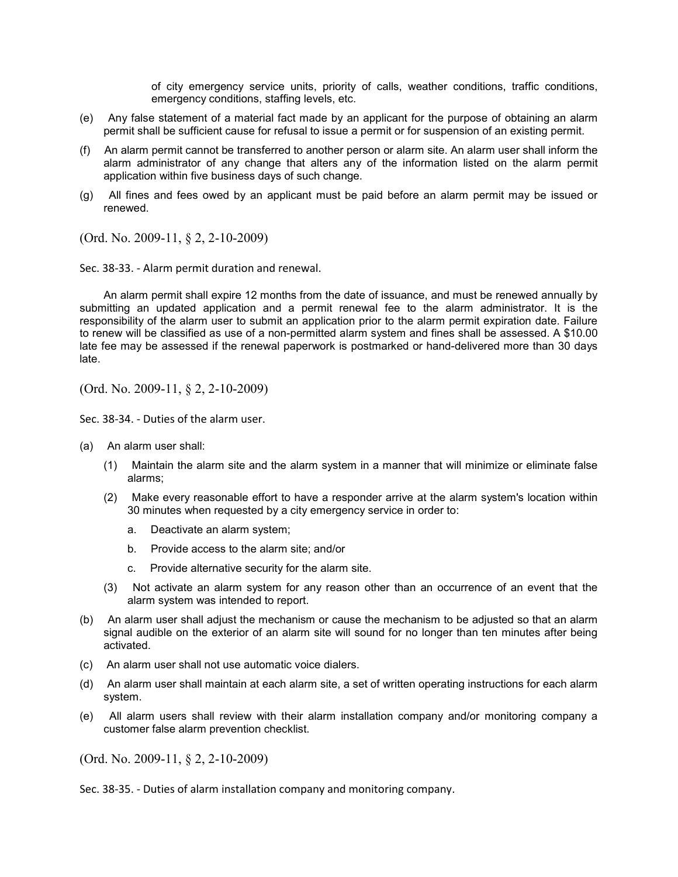of city emergency service units, priority of calls, weather conditions, traffic conditions, emergency conditions, staffing levels, etc.

- (e) Any false statement of a material fact made by an applicant for the purpose of obtaining an alarm permit shall be sufficient cause for refusal to issue a permit or for suspension of an existing permit.
- (f) An alarm permit cannot be transferred to another person or alarm site. An alarm user shall inform the alarm administrator of any change that alters any of the information listed on the alarm permit application within five business days of such change.
- (g) All fines and fees owed by an applicant must be paid before an alarm permit may be issued or renewed.

(Ord. No. 2009-11, § 2, 2-10-2009)

Sec. 38-33. - Alarm permit duration and renewal.

An alarm permit shall expire 12 months from the date of issuance, and must be renewed annually by submitting an updated application and a permit renewal fee to the alarm administrator. It is the responsibility of the alarm user to submit an application prior to the alarm permit expiration date. Failure to renew will be classified as use of a non-permitted alarm system and fines shall be assessed. A \$10.00 late fee may be assessed if the renewal paperwork is postmarked or hand-delivered more than 30 days late.

(Ord. No. 2009-11, § 2, 2-10-2009)

Sec. 38-34. - Duties of the alarm user.

- (a) An alarm user shall:
	- (1) Maintain the alarm site and the alarm system in a manner that will minimize or eliminate false alarms;
	- (2) Make every reasonable effort to have a responder arrive at the alarm system's location within 30 minutes when requested by a city emergency service in order to:
		- a. Deactivate an alarm system;
		- b. Provide access to the alarm site; and/or
		- c. Provide alternative security for the alarm site.
	- (3) Not activate an alarm system for any reason other than an occurrence of an event that the alarm system was intended to report.
- (b) An alarm user shall adjust the mechanism or cause the mechanism to be adjusted so that an alarm signal audible on the exterior of an alarm site will sound for no longer than ten minutes after being activated.
- (c) An alarm user shall not use automatic voice dialers.
- (d) An alarm user shall maintain at each alarm site, a set of written operating instructions for each alarm system.
- (e) All alarm users shall review with their alarm installation company and/or monitoring company a customer false alarm prevention checklist.

(Ord. No. 2009-11, § 2, 2-10-2009)

Sec. 38-35. - Duties of alarm installation company and monitoring company.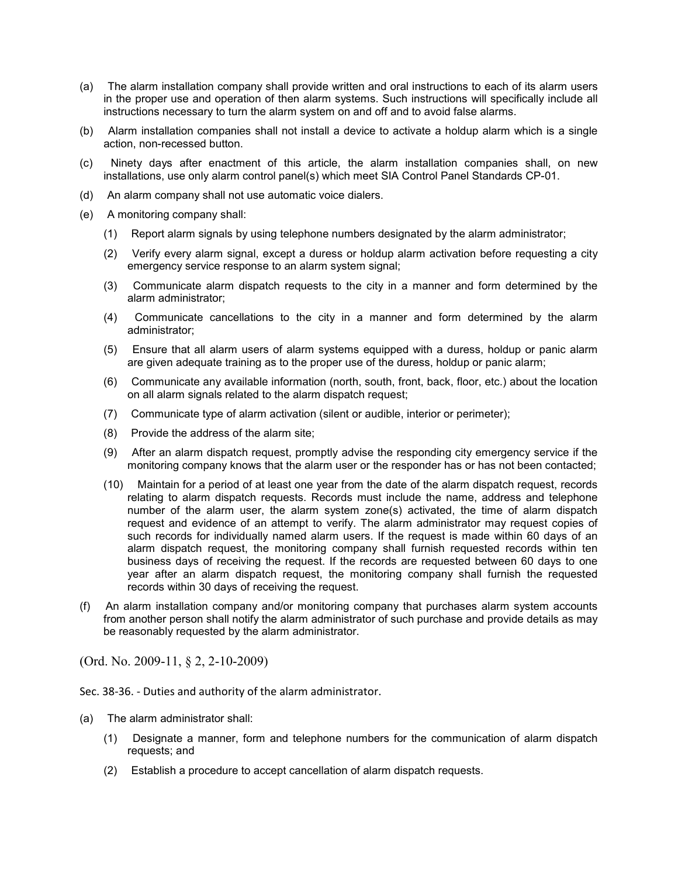- (a) The alarm installation company shall provide written and oral instructions to each of its alarm users in the proper use and operation of then alarm systems. Such instructions will specifically include all instructions necessary to turn the alarm system on and off and to avoid false alarms.
- (b) Alarm installation companies shall not install a device to activate a holdup alarm which is a single action, non-recessed button.
- (c) Ninety days after enactment of this article, the alarm installation companies shall, on new installations, use only alarm control panel(s) which meet SIA Control Panel Standards CP-01.
- (d) An alarm company shall not use automatic voice dialers.
- (e) A monitoring company shall:
	- (1) Report alarm signals by using telephone numbers designated by the alarm administrator;
	- (2) Verify every alarm signal, except a duress or holdup alarm activation before requesting a city emergency service response to an alarm system signal;
	- (3) Communicate alarm dispatch requests to the city in a manner and form determined by the alarm administrator;
	- (4) Communicate cancellations to the city in a manner and form determined by the alarm administrator;
	- (5) Ensure that all alarm users of alarm systems equipped with a duress, holdup or panic alarm are given adequate training as to the proper use of the duress, holdup or panic alarm;
	- (6) Communicate any available information (north, south, front, back, floor, etc.) about the location on all alarm signals related to the alarm dispatch request;
	- (7) Communicate type of alarm activation (silent or audible, interior or perimeter);
	- (8) Provide the address of the alarm site;
	- (9) After an alarm dispatch request, promptly advise the responding city emergency service if the monitoring company knows that the alarm user or the responder has or has not been contacted;
	- (10) Maintain for a period of at least one year from the date of the alarm dispatch request, records relating to alarm dispatch requests. Records must include the name, address and telephone number of the alarm user, the alarm system zone(s) activated, the time of alarm dispatch request and evidence of an attempt to verify. The alarm administrator may request copies of such records for individually named alarm users. If the request is made within 60 days of an alarm dispatch request, the monitoring company shall furnish requested records within ten business days of receiving the request. If the records are requested between 60 days to one year after an alarm dispatch request, the monitoring company shall furnish the requested records within 30 days of receiving the request.
- (f) An alarm installation company and/or monitoring company that purchases alarm system accounts from another person shall notify the alarm administrator of such purchase and provide details as may be reasonably requested by the alarm administrator.

(Ord. No. 2009-11, § 2, 2-10-2009)

Sec. 38-36. - Duties and authority of the alarm administrator.

- (a) The alarm administrator shall:
	- (1) Designate a manner, form and telephone numbers for the communication of alarm dispatch requests; and
	- (2) Establish a procedure to accept cancellation of alarm dispatch requests.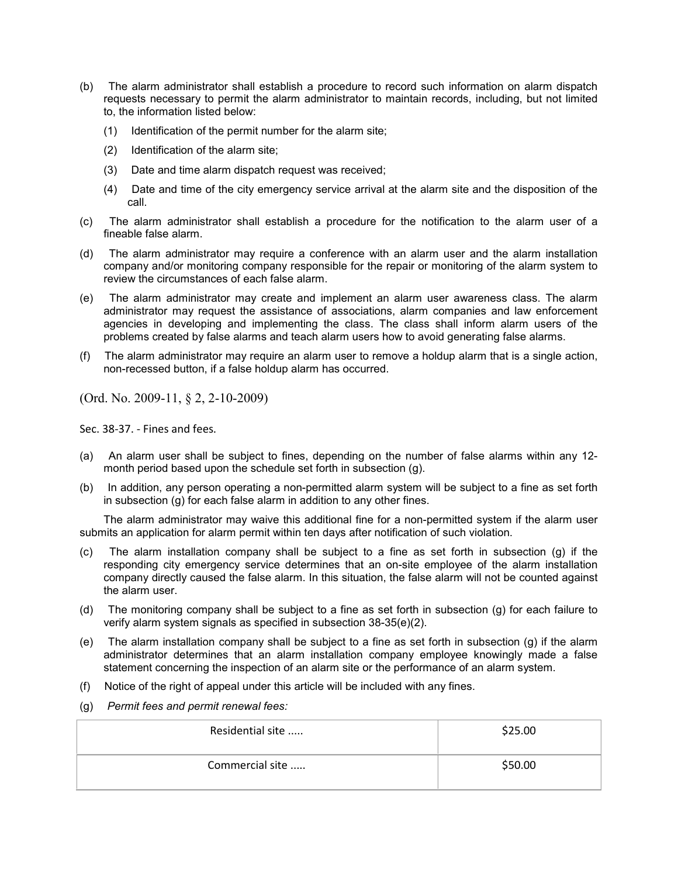- (b) The alarm administrator shall establish a procedure to record such information on alarm dispatch requests necessary to permit the alarm administrator to maintain records, including, but not limited to, the information listed below:
	- (1) Identification of the permit number for the alarm site;
	- (2) Identification of the alarm site;
	- (3) Date and time alarm dispatch request was received;
	- (4) Date and time of the city emergency service arrival at the alarm site and the disposition of the call.
- (c) The alarm administrator shall establish a procedure for the notification to the alarm user of a fineable false alarm.
- (d) The alarm administrator may require a conference with an alarm user and the alarm installation company and/or monitoring company responsible for the repair or monitoring of the alarm system to review the circumstances of each false alarm.
- (e) The alarm administrator may create and implement an alarm user awareness class. The alarm administrator may request the assistance of associations, alarm companies and law enforcement agencies in developing and implementing the class. The class shall inform alarm users of the problems created by false alarms and teach alarm users how to avoid generating false alarms.
- (f) The alarm administrator may require an alarm user to remove a holdup alarm that is a single action, non-recessed button, if a false holdup alarm has occurred.

(Ord. No. 2009-11, § 2, 2-10-2009)

Sec. 38-37. - Fines and fees.

- (a) An alarm user shall be subject to fines, depending on the number of false alarms within any 12 month period based upon the schedule set forth in subsection (g).
- (b) In addition, any person operating a non-permitted alarm system will be subject to a fine as set forth in subsection (g) for each false alarm in addition to any other fines.

The alarm administrator may waive this additional fine for a non-permitted system if the alarm user submits an application for alarm permit within ten days after notification of such violation.

- (c) The alarm installation company shall be subject to a fine as set forth in subsection (g) if the responding city emergency service determines that an on-site employee of the alarm installation company directly caused the false alarm. In this situation, the false alarm will not be counted against the alarm user.
- (d) The monitoring company shall be subject to a fine as set forth in subsection (g) for each failure to verify alarm system signals as specified in subsection 38-35(e)(2).
- (e) The alarm installation company shall be subject to a fine as set forth in subsection (g) if the alarm administrator determines that an alarm installation company employee knowingly made a false statement concerning the inspection of an alarm site or the performance of an alarm system.
- (f) Notice of the right of appeal under this article will be included with any fines.
- (g) *Permit fees and permit renewal fees:*

| Residential site | \$25.00 |
|------------------|---------|
| Commercial site  | \$50.00 |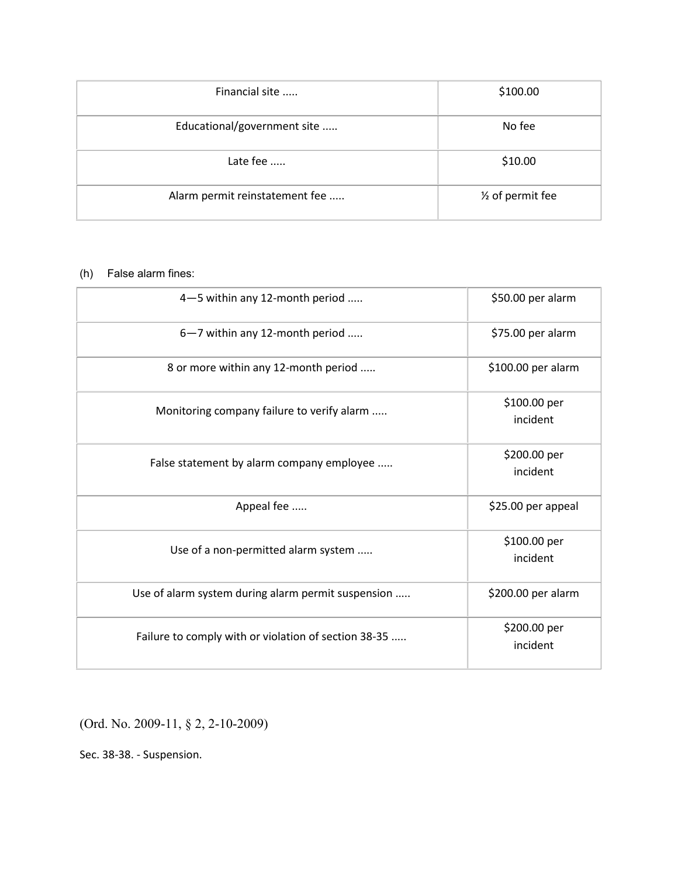| Financial site                 | \$100.00                      |
|--------------------------------|-------------------------------|
| Educational/government site    | No fee                        |
| Late fee                       | \$10.00                       |
| Alarm permit reinstatement fee | 1/ <sub>2</sub> of permit fee |

## (h) False alarm fines:

| 4-5 within any 12-month period                       | \$50.00 per alarm        |
|------------------------------------------------------|--------------------------|
| 6-7 within any 12-month period                       | \$75.00 per alarm        |
| 8 or more within any 12-month period                 | \$100.00 per alarm       |
| Monitoring company failure to verify alarm           | \$100.00 per<br>incident |
| False statement by alarm company employee            | \$200.00 per<br>incident |
| Appeal fee                                           | \$25.00 per appeal       |
| Use of a non-permitted alarm system                  | \$100.00 per<br>incident |
| Use of alarm system during alarm permit suspension   | \$200.00 per alarm       |
| Failure to comply with or violation of section 38-35 | \$200.00 per<br>incident |

(Ord. No. 2009-11, § 2, 2-10-2009)

Sec. 38-38. - Suspension.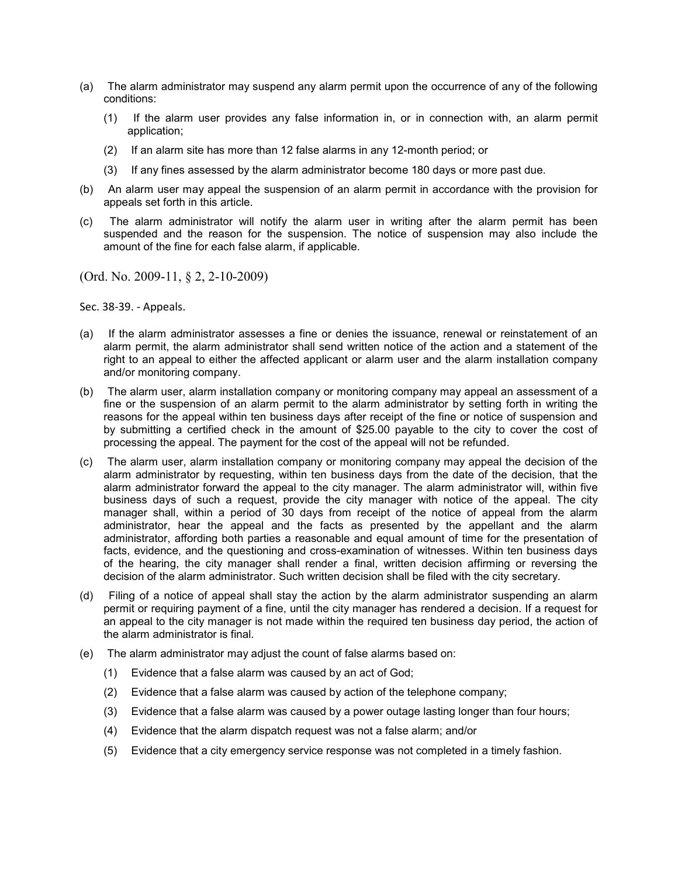- (a) The alarm administrator may suspend any alarm permit upon the occurrence of any of the following conditions:
	- (1) If the alarm user provides any false information in, or in connection with, an alarm permit application;
	- (2) If an alarm site has more than 12 false alarms in any 12-month period; or
	- (3) If any fines assessed by the alarm administrator become 180 days or more past due.
- (b) An alarm user may appeal the suspension of an alarm permit in accordance with the provision for appeals set forth in this article.
- (c) The alarm administrator will notify the alarm user in writing after the alarm permit has been suspended and the reason for the suspension. The notice of suspension may also include the amount of the fine for each false alarm, if applicable.

(Ord. No. 2009-11, § 2, 2-10-2009)

Sec. 38-39. - Appeals.

- (a) If the alarm administrator assesses a fine or denies the issuance, renewal or reinstatement of an alarm permit, the alarm administrator shall send written notice of the action and a statement of the right to an appeal to either the affected applicant or alarm user and the alarm installation company and/or monitoring company.
- (b) The alarm user, alarm installation company or monitoring company may appeal an assessment of a fine or the suspension of an alarm permit to the alarm administrator by setting forth in writing the reasons for the appeal within ten business days after receipt of the fine or notice of suspension and by submitting a certified check in the amount of \$25.00 payable to the city to cover the cost of processing the appeal. The payment for the cost of the appeal will not be refunded.
- (c) The alarm user, alarm installation company or monitoring company may appeal the decision of the alarm administrator by requesting, within ten business days from the date of the decision, that the alarm administrator forward the appeal to the city manager. The alarm administrator will, within five business days of such a request, provide the city manager with notice of the appeal. The city manager shall, within a period of 30 days from receipt of the notice of appeal from the alarm administrator, hear the appeal and the facts as presented by the appellant and the alarm administrator, affording both parties a reasonable and equal amount of time for the presentation of facts, evidence, and the questioning and cross-examination of witnesses. Within ten business days of the hearing, the city manager shall render a final, written decision affirming or reversing the decision of the alarm administrator. Such written decision shall be filed with the city secretary.
- (d) Filing of a notice of appeal shall stay the action by the alarm administrator suspending an alarm permit or requiring payment of a fine, until the city manager has rendered a decision. If a request for an appeal to the city manager is not made within the required ten business day period, the action of the alarm administrator is final.
- (e) The alarm administrator may adjust the count of false alarms based on:
	- (1) Evidence that a false alarm was caused by an act of God;
	- (2) Evidence that a false alarm was caused by action of the telephone company;
	- (3) Evidence that a false alarm was caused by a power outage lasting longer than four hours;
	- (4) Evidence that the alarm dispatch request was not a false alarm; and/or
	- (5) Evidence that a city emergency service response was not completed in a timely fashion.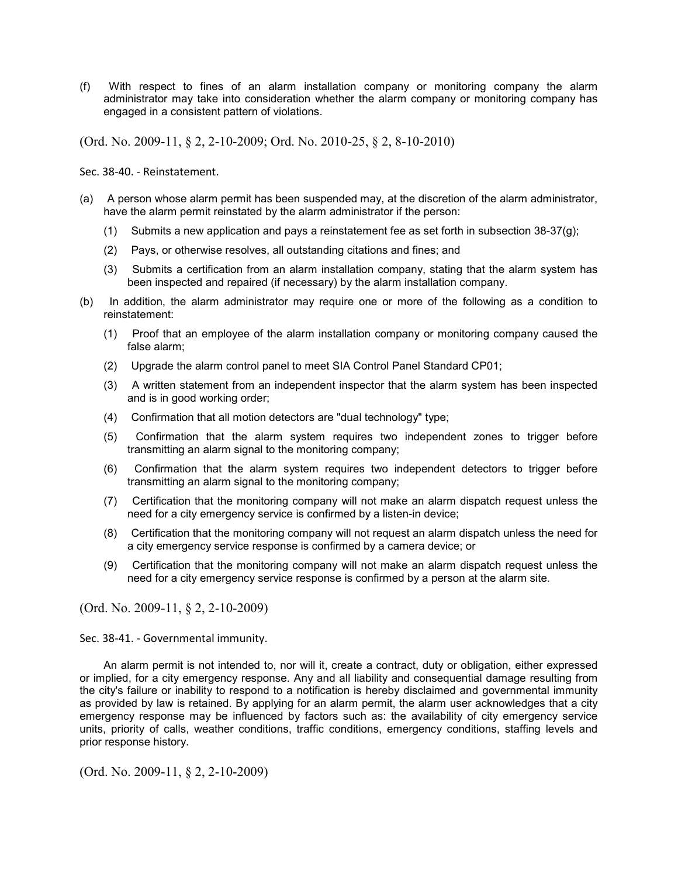(f) With respect to fines of an alarm installation company or monitoring company the alarm administrator may take into consideration whether the alarm company or monitoring company has engaged in a consistent pattern of violations.

(Ord. No. 2009-11, § 2, 2-10-2009; Ord. No. 2010-25, § 2, 8-10-2010)

Sec. 38-40. - Reinstatement.

- (a) A person whose alarm permit has been suspended may, at the discretion of the alarm administrator, have the alarm permit reinstated by the alarm administrator if the person:
	- (1) Submits a new application and pays a reinstatement fee as set forth in subsection 38-37(g);
	- (2) Pays, or otherwise resolves, all outstanding citations and fines; and
	- (3) Submits a certification from an alarm installation company, stating that the alarm system has been inspected and repaired (if necessary) by the alarm installation company.
- (b) In addition, the alarm administrator may require one or more of the following as a condition to reinstatement:
	- (1) Proof that an employee of the alarm installation company or monitoring company caused the false alarm;
	- (2) Upgrade the alarm control panel to meet SIA Control Panel Standard CP01;
	- (3) A written statement from an independent inspector that the alarm system has been inspected and is in good working order;
	- (4) Confirmation that all motion detectors are "dual technology" type;
	- (5) Confirmation that the alarm system requires two independent zones to trigger before transmitting an alarm signal to the monitoring company;
	- (6) Confirmation that the alarm system requires two independent detectors to trigger before transmitting an alarm signal to the monitoring company;
	- (7) Certification that the monitoring company will not make an alarm dispatch request unless the need for a city emergency service is confirmed by a listen-in device;
	- (8) Certification that the monitoring company will not request an alarm dispatch unless the need for a city emergency service response is confirmed by a camera device; or
	- (9) Certification that the monitoring company will not make an alarm dispatch request unless the need for a city emergency service response is confirmed by a person at the alarm site.

(Ord. No. 2009-11, § 2, 2-10-2009)

Sec. 38-41. - Governmental immunity.

An alarm permit is not intended to, nor will it, create a contract, duty or obligation, either expressed or implied, for a city emergency response. Any and all liability and consequential damage resulting from the city's failure or inability to respond to a notification is hereby disclaimed and governmental immunity as provided by law is retained. By applying for an alarm permit, the alarm user acknowledges that a city emergency response may be influenced by factors such as: the availability of city emergency service units, priority of calls, weather conditions, traffic conditions, emergency conditions, staffing levels and prior response history.

(Ord. No. 2009-11, § 2, 2-10-2009)